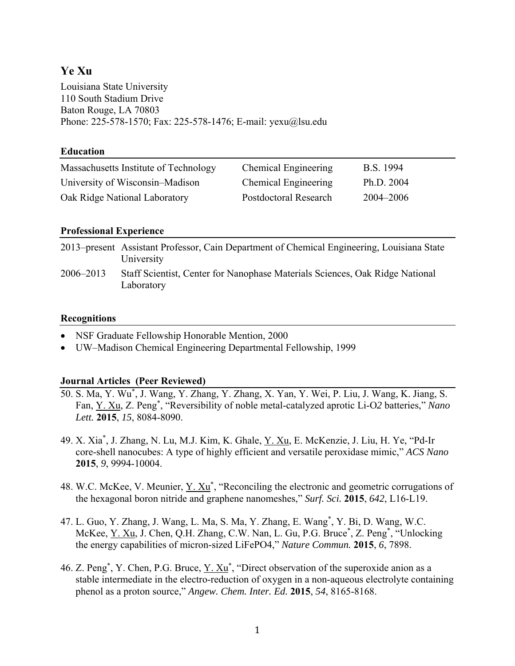# **Ye Xu**

Louisiana State University 110 South Stadium Drive Baton Rouge, LA 70803 Phone: 225-578-1570; Fax: 225-578-1476; E-mail: yexu@lsu.edu

## **Education**

| Massachusetts Institute of Technology | <b>Chemical Engineering</b>  | B.S. 1994  |
|---------------------------------------|------------------------------|------------|
| University of Wisconsin–Madison       | Chemical Engineering         | Ph.D. 2004 |
| Oak Ridge National Laboratory         | <b>Postdoctoral Research</b> | 2004–2006  |

## **Professional Experience**

|           | 2013–present Assistant Professor, Cain Department of Chemical Engineering, Louisiana State<br>University |
|-----------|----------------------------------------------------------------------------------------------------------|
| 2006–2013 | Staff Scientist, Center for Nanophase Materials Sciences, Oak Ridge National<br>Laboratory               |

#### **Recognitions**

- NSF Graduate Fellowship Honorable Mention, 2000
- UW–Madison Chemical Engineering Departmental Fellowship, 1999

#### **Journal Articles (Peer Reviewed)**

- 50. S. Ma, Y. Wu\* , J. Wang, Y. Zhang, Y. Zhang, X. Yan, Y. Wei, P. Liu, J. Wang, K. Jiang, S. Fan, Y. Xu, Z. Peng\* , "Reversibility of noble metal-catalyzed aprotic Li-O*2* batteries," *Nano Lett.* **2015**, *15*, 8084-8090.
- 49. X. Xia<sup>\*</sup>, J. Zhang, N. Lu, M.J. Kim, K. Ghale, Y. Xu, E. McKenzie, J. Liu, H. Ye, "Pd-Ir core-shell nanocubes: A type of highly efficient and versatile peroxidase mimic," *ACS Nano* **2015**, *9*, 9994-10004.
- 48. W.C. McKee, V. Meunier,  $\underline{Y}$ .  $\underline{Xu}^*$ , "Reconciling the electronic and geometric corrugations of the hexagonal boron nitride and graphene nanomeshes," *Surf. Sci.* **2015**, *642*, L16-L19.
- 47. L. Guo, Y. Zhang, J. Wang, L. Ma, S. Ma, Y. Zhang, E. Wang\* , Y. Bi, D. Wang, W.C. McKee, Y. Xu, J. Chen, Q.H. Zhang, C.W. Nan, L. Gu, P.G. Bruce<sup>\*</sup>, Z. Peng<sup>\*</sup>, "Unlocking the energy capabilities of micron-sized LiFePO4," *Nature Commun.* **2015**, *6*, 7898.
- 46. Z. Peng<sup>\*</sup>, Y. Chen, P.G. Bruce, <u>Y. Xu</u><sup>\*</sup>, "Direct observation of the superoxide anion as a stable intermediate in the electro-reduction of oxygen in a non-aqueous electrolyte containing phenol as a proton source," *Angew. Chem. Inter. Ed.* **2015**, *54*, 8165-8168.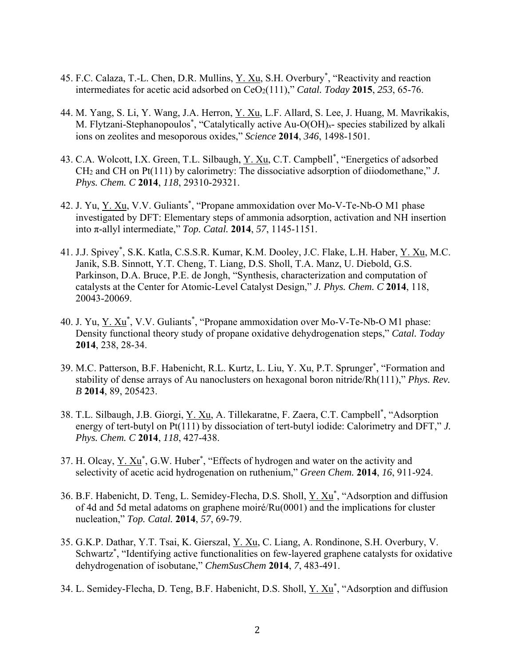- 45. F.C. Calaza, T.-L. Chen, D.R. Mullins, Y. Xu, S.H. Overbury<sup>\*</sup>, "Reactivity and reaction intermediates for acetic acid adsorbed on CeO2(111)," *Catal. Today* **2015**, *253*, 65-76.
- 44. M. Yang, S. Li, Y. Wang, J.A. Herron, Y. Xu, L.F. Allard, S. Lee, J. Huang, M. Mavrikakis, M. Flytzani-Stephanopoulos\* , "Catalytically active Au-O(OH)*x*- species stabilized by alkali ions on zeolites and mesoporous oxides," *Science* **2014**, *346*, 1498-1501.
- 43. C.A. Wolcott, I.X. Green, T.L. Silbaugh, Y. Xu, C.T. Campbell<sup>\*</sup>, "Energetics of adsorbed CH2 and CH on Pt(111) by calorimetry: The dissociative adsorption of diiodomethane," *J. Phys. Chem. C* **2014**, *118*, 29310-29321.
- 42. J. Yu, Y. Xu, V.V. Guliants<sup>\*</sup>, "Propane ammoxidation over Mo-V-Te-Nb-O M1 phase investigated by DFT: Elementary steps of ammonia adsorption, activation and NH insertion into π-allyl intermediate," *Top. Catal.* **2014**, *57*, 1145-1151.
- 41. J.J. Spivey<sup>\*</sup>, S.K. Katla, C.S.S.R. Kumar, K.M. Dooley, J.C. Flake, L.H. Haber, <u>Y. Xu</u>, M.C. Janik, S.B. Sinnott, Y.T. Cheng, T. Liang, D.S. Sholl, T.A. Manz, U. Diebold, G.S. Parkinson, D.A. Bruce, P.E. de Jongh, "Synthesis, characterization and computation of catalysts at the Center for Atomic-Level Catalyst Design," *J. Phys. Chem. C* **2014**, 118, 20043-20069.
- 40. J. Yu, Y. Xu<sup>\*</sup>, V.V. Guliants<sup>\*</sup>, "Propane ammoxidation over Mo-V-Te-Nb-O M1 phase: Density functional theory study of propane oxidative dehydrogenation steps," *Catal. Today* **2014**, 238, 28-34.
- 39. M.C. Patterson, B.F. Habenicht, R.L. Kurtz, L. Liu, Y. Xu, P.T. Sprunger\* , "Formation and stability of dense arrays of Au nanoclusters on hexagonal boron nitride/Rh(111)," *Phys. Rev. B* **2014**, 89, 205423.
- 38. T.L. Silbaugh, J.B. Giorgi, Y. Xu, A. Tillekaratne, F. Zaera, C.T. Campbell<sup>\*</sup>, "Adsorption energy of tert-butyl on Pt(111) by dissociation of tert-butyl iodide: Calorimetry and DFT," *J. Phys. Chem. C* **2014**, *118*, 427-438.
- 37. H. Olcay,  $Y. Xu^*$ , G.W. Huber<sup>\*</sup>, "Effects of hydrogen and water on the activity and selectivity of acetic acid hydrogenation on ruthenium," *Green Chem.* **2014**, *16*, 911-924.
- 36. B.F. Habenicht, D. Teng, L. Semidey-Flecha, D.S. Sholl, Y. Xu<sup>\*</sup>, "Adsorption and diffusion of 4d and 5d metal adatoms on graphene moiré/Ru(0001) and the implications for cluster nucleation," *Top. Catal.* **2014**, *57*, 69-79.
- 35. G.K.P. Dathar, Y.T. Tsai, K. Gierszal, Y. Xu, C. Liang, A. Rondinone, S.H. Overbury, V. Schwartz\* , "Identifying active functionalities on few-layered graphene catalysts for oxidative dehydrogenation of isobutane," *ChemSusChem* **2014**, *7*, 483-491.
- 34. L. Semidey-Flecha, D. Teng, B.F. Habenicht, D.S. Sholl, Y. Xu<sup>\*</sup>, "Adsorption and diffusion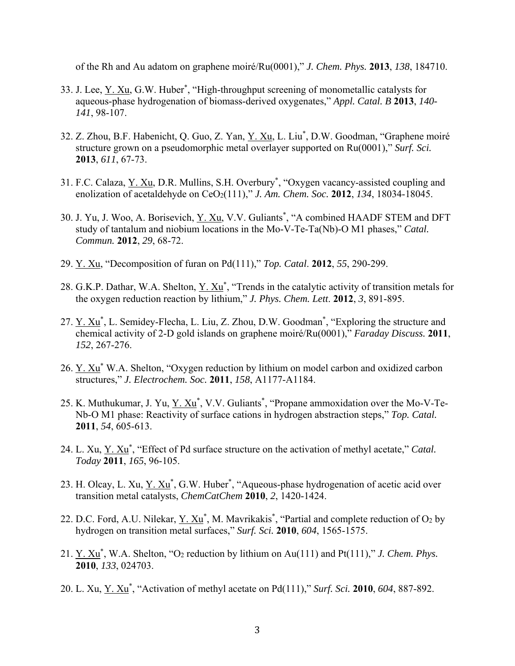of the Rh and Au adatom on graphene moiré/Ru(0001)," *J. Chem. Phys.* **2013**, *138*, 184710.

- 33. J. Lee, <u>Y. Xu,</u> G.W. Huber<sup>\*</sup>, "High-throughput screening of monometallic catalysts for aqueous-phase hydrogenation of biomass-derived oxygenates," *Appl. Catal. B* **2013**, *140- 141*, 98-107.
- 32. Z. Zhou, B.F. Habenicht, Q. Guo, Z. Yan, Y. Xu, L. Liu<sup>\*</sup>, D.W. Goodman, "Graphene moiré structure grown on a pseudomorphic metal overlayer supported on Ru(0001)," *Surf. Sci.* **2013**, *611*, 67-73.
- 31. F.C. Calaza, Y. Xu, D.R. Mullins, S.H. Overbury<sup>\*</sup>, "Oxygen vacancy-assisted coupling and enolization of acetaldehyde on CeO<sub>2</sub>(111)," *J. Am. Chem. Soc.* **2012**, *134*, 18034-18045.
- 30. J. Yu, J. Woo, A. Borisevich, Y. Xu, V.V. Guliants\*, "A combined HAADF STEM and DFT study of tantalum and niobium locations in the Mo-V-Te-Ta(Nb)-O M1 phases," *Catal. Commun.* **2012**, *29*, 68-72.
- 29. Y. Xu, "Decomposition of furan on Pd(111)," *Top. Catal*. **2012**, *55*, 290-299.
- 28. G.K.P. Dathar, W.A. Shelton,  $\underline{Y}$ .  $\underline{Xu}^*$ , "Trends in the catalytic activity of transition metals for the oxygen reduction reaction by lithium," *J. Phys. Chem. Lett*. **2012**, *3*, 891-895.
- 27. Y. Xu<sup>\*</sup>, L. Semidey-Flecha, L. Liu, Z. Zhou, D.W. Goodman<sup>\*</sup>, "Exploring the structure and chemical activity of 2-D gold islands on graphene moiré/Ru(0001)," *Faraday Discuss.* **2011**, *152*, 267-276.
- 26.  $Y. Xu^*$  W.A. Shelton, "Oxygen reduction by lithium on model carbon and oxidized carbon structures," *J. Electrochem. Soc.* **2011**, *158*, A1177-A1184.
- 25. K. Muthukumar, J. Yu, Y. Xu<sup>\*</sup>, V.V. Guliants<sup>\*</sup>, "Propane ammoxidation over the Mo-V-Te-Nb-O M1 phase: Reactivity of surface cations in hydrogen abstraction steps," *Top. Catal.* **2011**, *54*, 605-613.
- 24. L. Xu, <u>Y. Xu</u><sup>\*</sup>, "Effect of Pd surface structure on the activation of methyl acetate," *Catal*. *Today* **2011**, *165*, 96-105.
- 23. H. Olcay, L. Xu, Y. Xu<sup>\*</sup>, G.W. Huber<sup>\*</sup>, "Aqueous-phase hydrogenation of acetic acid over transition metal catalysts, *ChemCatChem* **2010**, *2*, 1420-1424.
- 22. D.C. Ford, A.U. Nilekar,  $Y \cdot Xu^*$ , M. Mavrikakis<sup>\*</sup>, "Partial and complete reduction of O<sub>2</sub> by hydrogen on transition metal surfaces," *Surf. Sci.* **2010**, *604*, 1565-1575.
- 21.  $Y. Xu^*$ , W.A. Shelton, "O<sub>2</sub> reduction by lithium on Au(111) and Pt(111)," *J. Chem. Phys.* **2010**, *133*, 024703.
- 20. L. Xu, Y. Xu\* , "Activation of methyl acetate on Pd(111)," *Surf. Sci.* **2010**, *604*, 887-892.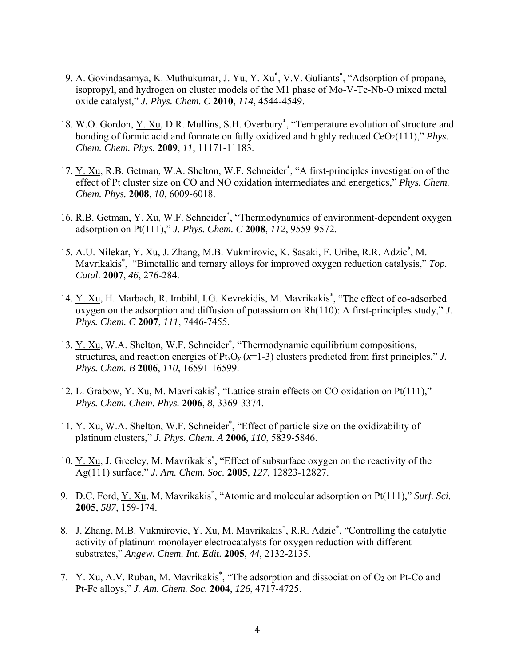- 19. A. Govindasamya, K. Muthukumar, J. Yu, Y. Xu<sup>\*</sup>, V.V. Guliants<sup>\*</sup>, "Adsorption of propane, isopropyl, and hydrogen on cluster models of the M1 phase of Mo-V-Te-Nb-O mixed metal oxide catalyst," *J. Phys. Chem. C* **2010**, *114*, 4544-4549.
- 18. W.O. Gordon, Y. Xu, D.R. Mullins, S.H. Overbury<sup>\*</sup>, "Temperature evolution of structure and bonding of formic acid and formate on fully oxidized and highly reduced CeO<sub>2</sub>(111)," *Phys. Chem. Chem. Phys.* **2009**, *11*, 11171-11183.
- 17. Y. Xu, R.B. Getman, W.A. Shelton, W.F. Schneider<sup>\*</sup>, "A first-principles investigation of the effect of Pt cluster size on CO and NO oxidation intermediates and energetics," *Phys. Chem. Chem. Phys.* **2008**, *10*, 6009-6018.
- 16. R.B. Getman, Y. Xu, W.F. Schneider\*, "Thermodynamics of environment-dependent oxygen adsorption on Pt(111)," *J. Phys. Chem. C* **2008**, *112*, 9559-9572.
- 15. A.U. Nilekar, Y. Xu, J. Zhang, M.B. Vukmirovic, K. Sasaki, F. Uribe, R.R. Adzic<sup>\*</sup>, M. Mavrikakis\* , "Bimetallic and ternary alloys for improved oxygen reduction catalysis," *Top. Catal.* **2007**, *46*, 276-284.
- 14. Y. Xu, H. Marbach, R. Imbihl, I.G. Kevrekidis, M. Mavrikakis\*, "The effect of co-adsorbed oxygen on the adsorption and diffusion of potassium on Rh(110): A first-principles study," *J. Phys. Chem. C* **2007**, *111*, 7446-7455.
- 13. Y. Xu, W.A. Shelton, W.F. Schneider<sup>\*</sup>, "Thermodynamic equilibrium compositions, structures, and reaction energies of  $Pt_xO_y(x=1-3)$  clusters predicted from first principles," *J. Phys. Chem. B* **2006**, *110*, 16591-16599.
- 12. L. Grabow, <u>Y. Xu</u>, M. Mavrikakis<sup>\*</sup>, "Lattice strain effects on CO oxidation on Pt(111)," *Phys. Chem. Chem. Phys.* **2006**, *8*, 3369-3374.
- 11. Y. Xu, W.A. Shelton, W.F. Schneider<sup>\*</sup>, "Effect of particle size on the oxidizability of platinum clusters," *J. Phys. Chem. A* **2006**, *110*, 5839-5846.
- 10. Y. Xu, J. Greeley, M. Mavrikakis<sup>\*</sup>, "Effect of subsurface oxygen on the reactivity of the Ag(111) surface," *J. Am. Chem. Soc.* **2005**, *127*, 12823-12827.
- 9. D.C. Ford, Y. Xu, M. Mavrikakis\* , "Atomic and molecular adsorption on Pt(111)," *Surf. Sci.* **2005**, *587*, 159-174.
- 8. J. Zhang, M.B. Vukmirovic, Y. Xu, M. Mavrikakis<sup>\*</sup>, R.R. Adzic<sup>\*</sup>, "Controlling the catalytic activity of platinum-monolayer electrocatalysts for oxygen reduction with different substrates," *Angew. Chem. Int. Edit.* **2005**, *44*, 2132-2135.
- 7.  $Y. Xu, A.V. Ruban, M. Mavrikakis<sup>*</sup>, "The adsorption and dissociation of  $O_2$  on Pt-Co and$ Pt-Fe alloys," *J. Am. Chem. Soc.* **2004**, *126*, 4717-4725.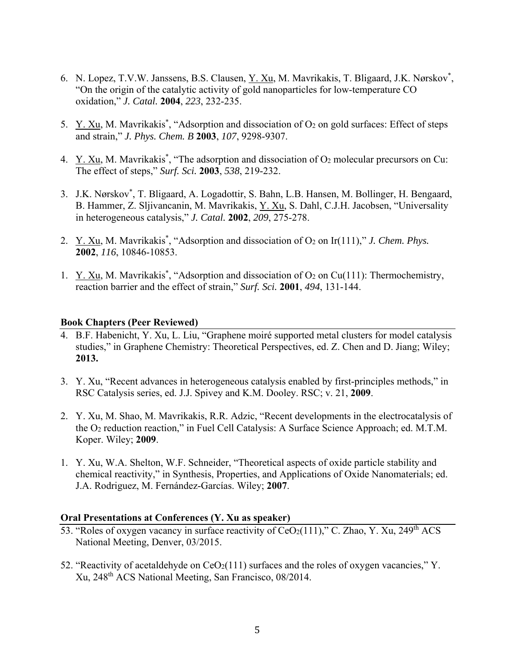- 6. N. Lopez, T.V.W. Janssens, B.S. Clausen, Y. Xu, M. Mavrikakis, T. Bligaard, J.K. Nørskov<sup>\*</sup>, "On the origin of the catalytic activity of gold nanoparticles for low-temperature CO oxidation," *J. Catal.* **2004**, *223*, 232-235.
- 5. Y. Xu, M. Mavrikakis<sup>\*</sup>, "Adsorption and dissociation of  $O_2$  on gold surfaces: Effect of steps and strain," *J. Phys. Chem. B* **2003**, *107*, 9298-9307.
- 4.  $Y. Xu, M. Mavrikakis^*$ , "The adsorption and dissociation of O<sub>2</sub> molecular precursors on Cu: The effect of steps," *Surf. Sci.* **2003**, *538*, 219-232.
- 3. J.K. Nørskov\* , T. Bligaard, A. Logadottir, S. Bahn, L.B. Hansen, M. Bollinger, H. Bengaard, B. Hammer, Z. Sljivancanin, M. Mavrikakis, Y. Xu, S. Dahl, C.J.H. Jacobsen, "Universality in heterogeneous catalysis," *J. Catal.* **2002**, *209*, 275-278.
- 2. Y. Xu, M. Mavrikakis<sup>\*</sup>, "Adsorption and dissociation of O<sub>2</sub> on Ir(111)," *J. Chem. Phys.* **2002**, *116*, 10846-10853.
- 1. Y. Xu, M. Mavrikakis<sup>\*</sup>, "Adsorption and dissociation of  $O_2$  on Cu(111): Thermochemistry, reaction barrier and the effect of strain," *Surf. Sci.* **2001**, *494*, 131-144.

#### **Book Chapters (Peer Reviewed)**

- 4. B.F. Habenicht, Y. Xu, L. Liu, "Graphene moiré supported metal clusters for model catalysis studies," in Graphene Chemistry: Theoretical Perspectives, ed. Z. Chen and D. Jiang; Wiley; **2013.**
- 3. Y. Xu, "Recent advances in heterogeneous catalysis enabled by first-principles methods," in RSC Catalysis series, ed. J.J. Spivey and K.M. Dooley. RSC; v. 21, **2009**.
- 2. Y. Xu, M. Shao, M. Mavrikakis, R.R. Adzic, "Recent developments in the electrocatalysis of the O2 reduction reaction," in Fuel Cell Catalysis: A Surface Science Approach; ed. M.T.M. Koper. Wiley; **2009**.
- 1. Y. Xu, W.A. Shelton, W.F. Schneider, "Theoretical aspects of oxide particle stability and chemical reactivity," in Synthesis, Properties, and Applications of Oxide Nanomaterials; ed. J.A. Rodriguez, M. Fernández-Garcías. Wiley; **2007**.

#### **Oral Presentations at Conferences (Y. Xu as speaker)**

- 53. "Roles of oxygen vacancy in surface reactivity of CeO2(111)," C. Zhao, Y. Xu, 249<sup>th</sup> ACS National Meeting, Denver, 03/2015.
- 52. "Reactivity of acetaldehyde on  $CeO<sub>2</sub>(111)$  surfaces and the roles of oxygen vacancies," Y. Xu, 248th ACS National Meeting, San Francisco, 08/2014.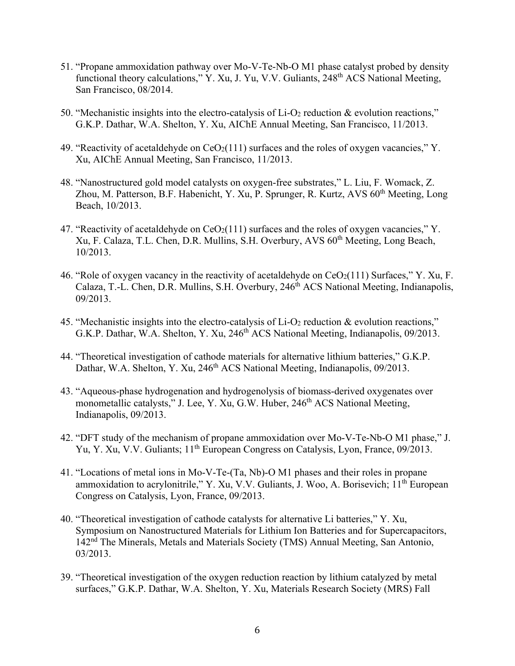- 51. "Propane ammoxidation pathway over Mo-V-Te-Nb-O M1 phase catalyst probed by density functional theory calculations," Y. Xu, J. Yu, V.V. Guliants, 248<sup>th</sup> ACS National Meeting, San Francisco, 08/2014.
- 50. "Mechanistic insights into the electro-catalysis of Li-O2 reduction & evolution reactions," G.K.P. Dathar, W.A. Shelton, Y. Xu, AIChE Annual Meeting, San Francisco, 11/2013.
- 49. "Reactivity of acetaldehyde on  $CeO<sub>2</sub>(111)$  surfaces and the roles of oxygen vacancies," Y. Xu, AIChE Annual Meeting, San Francisco, 11/2013.
- 48. "Nanostructured gold model catalysts on oxygen-free substrates," L. Liu, F. Womack, Z. Zhou, M. Patterson, B.F. Habenicht, Y. Xu, P. Sprunger, R. Kurtz, AVS 60<sup>th</sup> Meeting, Long Beach, 10/2013.
- 47. "Reactivity of acetaldehyde on  $CeO<sub>2</sub>(111)$  surfaces and the roles of oxygen vacancies," Y. Xu, F. Calaza, T.L. Chen, D.R. Mullins, S.H. Overbury, AVS 60<sup>th</sup> Meeting, Long Beach, 10/2013.
- 46. "Role of oxygen vacancy in the reactivity of acetaldehyde on  $CeO<sub>2</sub>(111)$  Surfaces," Y. Xu, F. Calaza, T.-L. Chen, D.R. Mullins, S.H. Overbury, 246<sup>th</sup> ACS National Meeting, Indianapolis, 09/2013.
- 45. "Mechanistic insights into the electro-catalysis of Li-O2 reduction & evolution reactions," G.K.P. Dathar, W.A. Shelton, Y. Xu, 246<sup>th</sup> ACS National Meeting, Indianapolis, 09/2013.
- 44. "Theoretical investigation of cathode materials for alternative lithium batteries," G.K.P. Dathar, W.A. Shelton, Y. Xu, 246<sup>th</sup> ACS National Meeting, Indianapolis, 09/2013.
- 43. "Aqueous-phase hydrogenation and hydrogenolysis of biomass-derived oxygenates over monometallic catalysts," J. Lee, Y. Xu, G.W. Huber, 246<sup>th</sup> ACS National Meeting, Indianapolis, 09/2013.
- 42. "DFT study of the mechanism of propane ammoxidation over Mo-V-Te-Nb-O M1 phase," J. Yu, Y. Xu, V.V. Guliants; 11<sup>th</sup> European Congress on Catalysis, Lyon, France, 09/2013.
- 41. "Locations of metal ions in Mo-V-Te-(Ta, Nb)-O M1 phases and their roles in propane ammoxidation to acrylonitrile," Y. Xu, V.V. Guliants, J. Woo, A. Borisevich; 11<sup>th</sup> European Congress on Catalysis, Lyon, France, 09/2013.
- 40. "Theoretical investigation of cathode catalysts for alternative Li batteries," Y. Xu, Symposium on Nanostructured Materials for Lithium Ion Batteries and for Supercapacitors, 142nd The Minerals, Metals and Materials Society (TMS) Annual Meeting, San Antonio, 03/2013.
- 39. "Theoretical investigation of the oxygen reduction reaction by lithium catalyzed by metal surfaces," G.K.P. Dathar, W.A. Shelton, Y. Xu, Materials Research Society (MRS) Fall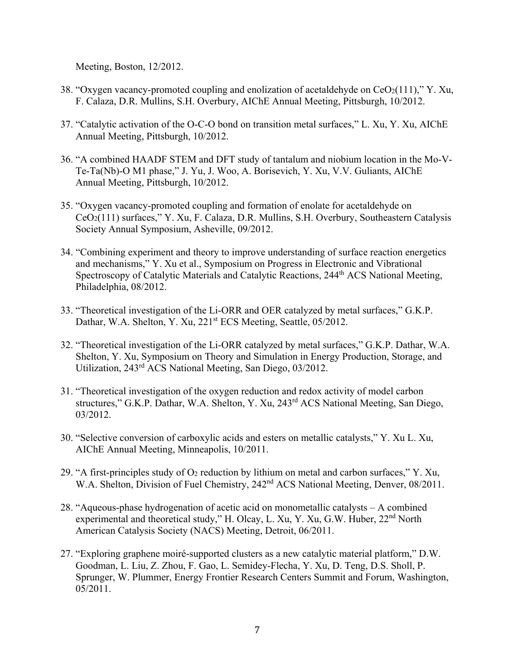Meeting, Boston, 12/2012.

- 38. "Oxygen vacancy-promoted coupling and enolization of acetaldehyde on  $CeO<sub>2</sub>(111)$ ," Y. Xu, F. Calaza, D.R. Mullins, S.H. Overbury, AIChE Annual Meeting, Pittsburgh, 10/2012.
- 37. "Catalytic activation of the O-C-O bond on transition metal surfaces," L. Xu, Y. Xu, AIChE Annual Meeting, Pittsburgh, 10/2012.
- 36. "A combined HAADF STEM and DFT study of tantalum and niobium location in the Mo-V-Te-Ta(Nb)-O M1 phase," J. Yu, J. Woo, A. Borisevich, Y. Xu, V.V. Guliants, AIChE Annual Meeting, Pittsburgh, 10/2012.
- 35. "Oxygen vacancy-promoted coupling and formation of enolate for acetaldehyde on CeO2(111) surfaces," Y. Xu, F. Calaza, D.R. Mullins, S.H. Overbury, Southeastern Catalysis Society Annual Symposium, Asheville, 09/2012.
- 34. "Combining experiment and theory to improve understanding of surface reaction energetics and mechanisms," Y. Xu et al., Symposium on Progress in Electronic and Vibrational Spectroscopy of Catalytic Materials and Catalytic Reactions, 244<sup>th</sup> ACS National Meeting, Philadelphia, 08/2012.
- 33. "Theoretical investigation of the Li-ORR and OER catalyzed by metal surfaces," G.K.P. Dathar, W.A. Shelton, Y. Xu, 221<sup>st</sup> ECS Meeting, Seattle, 05/2012.
- 32. "Theoretical investigation of the Li-ORR catalyzed by metal surfaces," G.K.P. Dathar, W.A. Shelton, Y. Xu, Symposium on Theory and Simulation in Energy Production, Storage, and Utilization, 243rd ACS National Meeting, San Diego, 03/2012.
- 31. "Theoretical investigation of the oxygen reduction and redox activity of model carbon structures," G.K.P. Dathar, W.A. Shelton, Y. Xu, 243rd ACS National Meeting, San Diego, 03/2012.
- 30. "Selective conversion of carboxylic acids and esters on metallic catalysts," Y. Xu L. Xu, AIChE Annual Meeting, Minneapolis, 10/2011.
- 29. "A first-principles study of  $O_2$  reduction by lithium on metal and carbon surfaces," Y. Xu, W.A. Shelton, Division of Fuel Chemistry, 242<sup>nd</sup> ACS National Meeting, Denver, 08/2011.
- 28. "Aqueous-phase hydrogenation of acetic acid on monometallic catalysts A combined experimental and theoretical study," H. Olcay, L. Xu, Y. Xu, G.W. Huber, 22<sup>nd</sup> North American Catalysis Society (NACS) Meeting, Detroit, 06/2011.
- 27. "Exploring graphene moiré-supported clusters as a new catalytic material platform," D.W. Goodman, L. Liu, Z. Zhou, F. Gao, L. Semidey-Flecha, Y. Xu, D. Teng, D.S. Sholl, P. Sprunger, W. Plummer, Energy Frontier Research Centers Summit and Forum, Washington, 05/2011.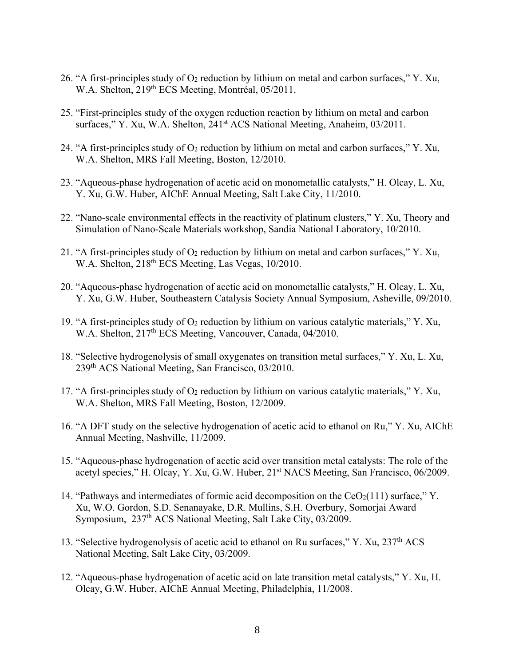- 26. "A first-principles study of  $O_2$  reduction by lithium on metal and carbon surfaces," Y. Xu, W.A. Shelton, 219<sup>th</sup> ECS Meeting, Montréal, 05/2011.
- 25. "First-principles study of the oxygen reduction reaction by lithium on metal and carbon surfaces," Y. Xu, W.A. Shelton, 241<sup>st</sup> ACS National Meeting, Anaheim, 03/2011.
- 24. "A first-principles study of  $O_2$  reduction by lithium on metal and carbon surfaces," Y. Xu, W.A. Shelton, MRS Fall Meeting, Boston, 12/2010.
- 23. "Aqueous-phase hydrogenation of acetic acid on monometallic catalysts," H. Olcay, L. Xu, Y. Xu, G.W. Huber, AIChE Annual Meeting, Salt Lake City, 11/2010.
- 22. "Nano-scale environmental effects in the reactivity of platinum clusters," Y. Xu, Theory and Simulation of Nano-Scale Materials workshop, Sandia National Laboratory, 10/2010.
- 21. "A first-principles study of  $O_2$  reduction by lithium on metal and carbon surfaces," Y. Xu, W.A. Shelton, 218<sup>th</sup> ECS Meeting, Las Vegas, 10/2010.
- 20. "Aqueous-phase hydrogenation of acetic acid on monometallic catalysts," H. Olcay, L. Xu, Y. Xu, G.W. Huber, Southeastern Catalysis Society Annual Symposium, Asheville, 09/2010.
- 19. "A first-principles study of O2 reduction by lithium on various catalytic materials," Y. Xu, W.A. Shelton, 217<sup>th</sup> ECS Meeting, Vancouver, Canada, 04/2010.
- 18. "Selective hydrogenolysis of small oxygenates on transition metal surfaces," Y. Xu, L. Xu, 239th ACS National Meeting, San Francisco, 03/2010.
- 17. "A first-principles study of  $O_2$  reduction by lithium on various catalytic materials," Y. Xu, W.A. Shelton, MRS Fall Meeting, Boston, 12/2009.
- 16. "A DFT study on the selective hydrogenation of acetic acid to ethanol on Ru," Y. Xu, AIChE Annual Meeting, Nashville, 11/2009.
- 15. "Aqueous-phase hydrogenation of acetic acid over transition metal catalysts: The role of the acetyl species," H. Olcay, Y. Xu, G.W. Huber, 21<sup>st</sup> NACS Meeting, San Francisco, 06/2009.
- 14. "Pathways and intermediates of formic acid decomposition on the  $CeO<sub>2</sub>(111)$  surface," Y. Xu, W.O. Gordon, S.D. Senanayake, D.R. Mullins, S.H. Overbury, Somorjai Award Symposium, 237<sup>th</sup> ACS National Meeting, Salt Lake City, 03/2009.
- 13. "Selective hydrogenolysis of acetic acid to ethanol on Ru surfaces," Y. Xu, 237<sup>th</sup> ACS National Meeting, Salt Lake City, 03/2009.
- 12. "Aqueous-phase hydrogenation of acetic acid on late transition metal catalysts," Y. Xu, H. Olcay, G.W. Huber, AIChE Annual Meeting, Philadelphia, 11/2008.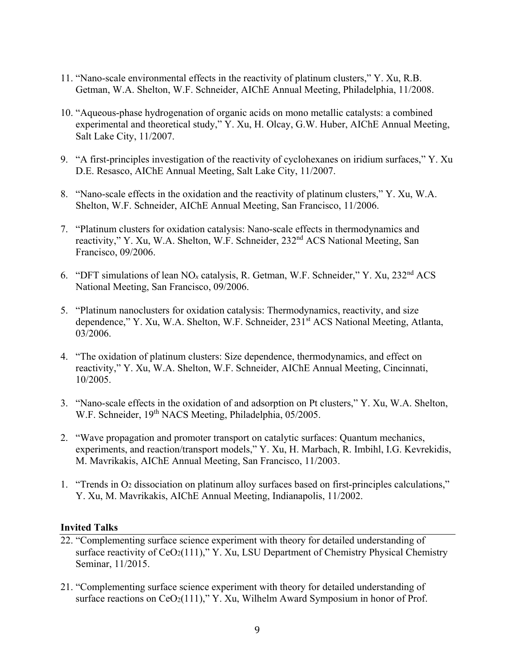- 11. "Nano-scale environmental effects in the reactivity of platinum clusters," Y. Xu, R.B. Getman, W.A. Shelton, W.F. Schneider, AIChE Annual Meeting, Philadelphia, 11/2008.
- 10. "Aqueous-phase hydrogenation of organic acids on mono metallic catalysts: a combined experimental and theoretical study," Y. Xu, H. Olcay, G.W. Huber, AIChE Annual Meeting, Salt Lake City, 11/2007.
- 9. "A first-principles investigation of the reactivity of cyclohexanes on iridium surfaces," Y. Xu D.E. Resasco, AIChE Annual Meeting, Salt Lake City, 11/2007.
- 8. "Nano-scale effects in the oxidation and the reactivity of platinum clusters," Y. Xu, W.A. Shelton, W.F. Schneider, AIChE Annual Meeting, San Francisco, 11/2006.
- 7. "Platinum clusters for oxidation catalysis: Nano-scale effects in thermodynamics and reactivity," Y. Xu, W.A. Shelton, W.F. Schneider, 232nd ACS National Meeting, San Francisco, 09/2006.
- 6. "DFT simulations of lean NO*x* catalysis, R. Getman, W.F. Schneider," Y. Xu, 232nd ACS National Meeting, San Francisco, 09/2006.
- 5. "Platinum nanoclusters for oxidation catalysis: Thermodynamics, reactivity, and size dependence," Y. Xu, W.A. Shelton, W.F. Schneider, 231<sup>st</sup> ACS National Meeting, Atlanta, 03/2006.
- 4. "The oxidation of platinum clusters: Size dependence, thermodynamics, and effect on reactivity," Y. Xu, W.A. Shelton, W.F. Schneider, AIChE Annual Meeting, Cincinnati, 10/2005.
- 3. "Nano-scale effects in the oxidation of and adsorption on Pt clusters," Y. Xu, W.A. Shelton, W.F. Schneider, 19<sup>th</sup> NACS Meeting, Philadelphia, 05/2005.
- 2. "Wave propagation and promoter transport on catalytic surfaces: Quantum mechanics, experiments, and reaction/transport models," Y. Xu, H. Marbach, R. Imbihl, I.G. Kevrekidis, M. Mavrikakis, AIChE Annual Meeting, San Francisco, 11/2003.
- 1. "Trends in O2 dissociation on platinum alloy surfaces based on first-principles calculations," Y. Xu, M. Mavrikakis, AIChE Annual Meeting, Indianapolis, 11/2002.

#### **Invited Talks**

- 22. "Complementing surface science experiment with theory for detailed understanding of surface reactivity of  $CeO<sub>2</sub>(111)$ ," Y. Xu, LSU Department of Chemistry Physical Chemistry Seminar, 11/2015.
- 21. "Complementing surface science experiment with theory for detailed understanding of surface reactions on  $CeO<sub>2</sub>(111),$ " Y. Xu, Wilhelm Award Symposium in honor of Prof.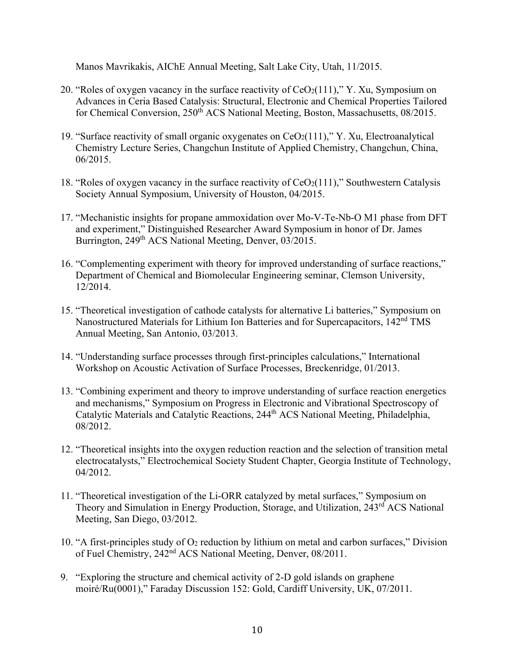Manos Mavrikakis, AIChE Annual Meeting, Salt Lake City, Utah, 11/2015.

- 20. "Roles of oxygen vacancy in the surface reactivity of  $CeO<sub>2</sub>(111)$ ," Y. Xu, Symposium on Advances in Ceria Based Catalysis: Structural, Electronic and Chemical Properties Tailored for Chemical Conversion, 250<sup>th</sup> ACS National Meeting, Boston, Massachusetts, 08/2015.
- 19. "Surface reactivity of small organic oxygenates on  $CeO<sub>2</sub>(111)$ ," Y. Xu, Electroanalytical Chemistry Lecture Series, Changchun Institute of Applied Chemistry, Changchun, China, 06/2015.
- 18. "Roles of oxygen vacancy in the surface reactivity of  $CeO<sub>2</sub>(111)$ ," Southwestern Catalysis Society Annual Symposium, University of Houston, 04/2015.
- 17. "Mechanistic insights for propane ammoxidation over Mo-V-Te-Nb-O M1 phase from DFT and experiment," Distinguished Researcher Award Symposium in honor of Dr. James Burrington, 249<sup>th</sup> ACS National Meeting, Denver, 03/2015.
- 16. "Complementing experiment with theory for improved understanding of surface reactions," Department of Chemical and Biomolecular Engineering seminar, Clemson University, 12/2014.
- 15. "Theoretical investigation of cathode catalysts for alternative Li batteries," Symposium on Nanostructured Materials for Lithium Ion Batteries and for Supercapacitors, 142nd TMS Annual Meeting, San Antonio, 03/2013.
- 14. "Understanding surface processes through first-principles calculations," International Workshop on Acoustic Activation of Surface Processes, Breckenridge, 01/2013.
- 13. "Combining experiment and theory to improve understanding of surface reaction energetics and mechanisms," Symposium on Progress in Electronic and Vibrational Spectroscopy of Catalytic Materials and Catalytic Reactions, 244th ACS National Meeting, Philadelphia, 08/2012.
- 12. "Theoretical insights into the oxygen reduction reaction and the selection of transition metal electrocatalysts," Electrochemical Society Student Chapter, Georgia Institute of Technology, 04/2012.
- 11. "Theoretical investigation of the Li-ORR catalyzed by metal surfaces," Symposium on Theory and Simulation in Energy Production, Storage, and Utilization, 243<sup>rd</sup> ACS National Meeting, San Diego, 03/2012.
- 10. "A first-principles study of O2 reduction by lithium on metal and carbon surfaces," Division of Fuel Chemistry, 242nd ACS National Meeting, Denver, 08/2011.
- 9. "Exploring the structure and chemical activity of 2-D gold islands on graphene moiré/Ru(0001)," Faraday Discussion 152: Gold, Cardiff University, UK, 07/2011.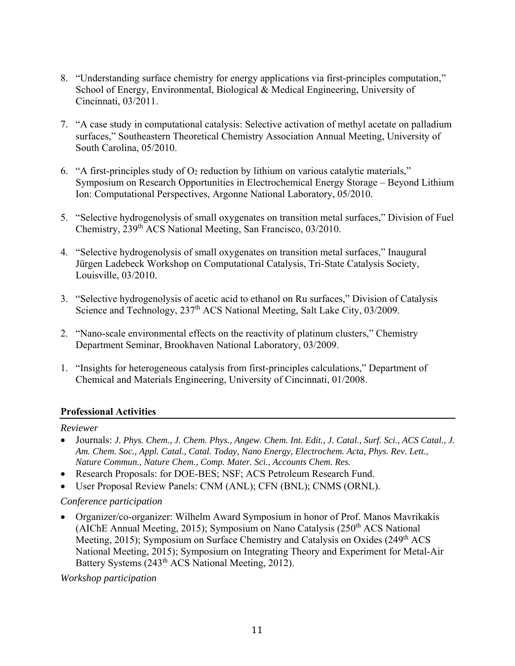- 8. "Understanding surface chemistry for energy applications via first-principles computation," School of Energy, Environmental, Biological & Medical Engineering, University of Cincinnati, 03/2011.
- 7. "A case study in computational catalysis: Selective activation of methyl acetate on palladium surfaces," Southeastern Theoretical Chemistry Association Annual Meeting, University of South Carolina, 05/2010.
- 6. "A first-principles study of  $O_2$  reduction by lithium on various catalytic materials," Symposium on Research Opportunities in Electrochemical Energy Storage – Beyond Lithium Ion: Computational Perspectives, Argonne National Laboratory, 05/2010.
- 5. "Selective hydrogenolysis of small oxygenates on transition metal surfaces," Division of Fuel Chemistry, 239th ACS National Meeting, San Francisco, 03/2010.
- 4. "Selective hydrogenolysis of small oxygenates on transition metal surfaces," Inaugural Jürgen Ladebeck Workshop on Computational Catalysis, Tri-State Catalysis Society, Louisville, 03/2010.
- 3. "Selective hydrogenolysis of acetic acid to ethanol on Ru surfaces," Division of Catalysis Science and Technology, 237<sup>th</sup> ACS National Meeting, Salt Lake City, 03/2009.
- 2. "Nano-scale environmental effects on the reactivity of platinum clusters," Chemistry Department Seminar, Brookhaven National Laboratory, 03/2009.
- 1. "Insights for heterogeneous catalysis from first-principles calculations," Department of Chemical and Materials Engineering, University of Cincinnati, 01/2008.

# **Professional Activities**

#### *Reviewer*

- Journals: *J. Phys. Chem., J. Chem. Phys., Angew. Chem. Int. Edit., J. Catal., Surf. Sci., ACS Catal., J. Am. Chem. Soc., Appl. Catal., Catal. Today, Nano Energy, Electrochem. Acta, Phys. Rev. Lett.*, *Nature Commun., Nature Chem., Comp. Mater. Sci.*, *Accounts Chem. Res.*
- Research Proposals: for DOE-BES; NSF; ACS Petroleum Research Fund.
- User Proposal Review Panels: CNM (ANL); CFN (BNL); CNMS (ORNL).

# *Conference participation*

 Organizer/co-organizer: Wilhelm Award Symposium in honor of Prof. Manos Mavrikakis (AIChE Annual Meeting, 2015); Symposium on Nano Catalysis  $(250<sup>th</sup> ACS)$  National Meeting, 2015); Symposium on Surface Chemistry and Catalysis on Oxides (249<sup>th</sup> ACS National Meeting, 2015); Symposium on Integrating Theory and Experiment for Metal-Air Battery Systems (243<sup>th</sup> ACS National Meeting, 2012).

*Workshop participation*